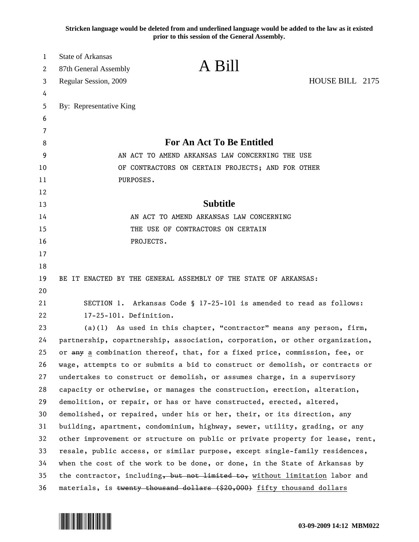**Stricken language would be deleted from and underlined language would be added to the law as it existed prior to this session of the General Assembly.**

| 1<br>2 | <b>State of Arkansas</b><br>87th General Assembly | A Bill                                                                        |                 |
|--------|---------------------------------------------------|-------------------------------------------------------------------------------|-----------------|
| 3      | Regular Session, 2009                             |                                                                               | HOUSE BILL 2175 |
| 4      |                                                   |                                                                               |                 |
| 5      | By: Representative King                           |                                                                               |                 |
| 6      |                                                   |                                                                               |                 |
| 7      |                                                   |                                                                               |                 |
| 8      |                                                   | <b>For An Act To Be Entitled</b>                                              |                 |
| 9      |                                                   | AN ACT TO AMEND ARKANSAS LAW CONCERNING THE USE                               |                 |
| 10     |                                                   | OF CONTRACTORS ON CERTAIN PROJECTS; AND FOR OTHER                             |                 |
| 11     | PURPOSES.                                         |                                                                               |                 |
| 12     |                                                   |                                                                               |                 |
| 13     |                                                   | <b>Subtitle</b>                                                               |                 |
| 14     |                                                   | AN ACT TO AMEND ARKANSAS LAW CONCERNING                                       |                 |
| 15     |                                                   | THE USE OF CONTRACTORS ON CERTAIN                                             |                 |
| 16     | PROJECTS.                                         |                                                                               |                 |
| 17     |                                                   |                                                                               |                 |
| 18     |                                                   |                                                                               |                 |
| 19     |                                                   | BE IT ENACTED BY THE GENERAL ASSEMBLY OF THE STATE OF ARKANSAS:               |                 |
| 20     |                                                   |                                                                               |                 |
| 21     |                                                   | SECTION 1. Arkansas Code § 17-25-101 is amended to read as follows:           |                 |
| 22     | 17-25-101. Definition.                            |                                                                               |                 |
| 23     |                                                   | $(a)(1)$ As used in this chapter, "contractor" means any person, firm,        |                 |
| 24     |                                                   | partnership, copartnership, association, corporation, or other organization,  |                 |
| 25     |                                                   | or any a combination thereof, that, for a fixed price, commission, fee, or    |                 |
| 26     |                                                   | wage, attempts to or submits a bid to construct or demolish, or contracts or  |                 |
| 27     |                                                   | undertakes to construct or demolish, or assumes charge, in a supervisory      |                 |
| 28     |                                                   | capacity or otherwise, or manages the construction, erection, alteration,     |                 |
| 29     |                                                   | demolition, or repair, or has or have constructed, erected, altered,          |                 |
| 30     |                                                   | demolished, or repaired, under his or her, their, or its direction, any       |                 |
| 31     |                                                   | building, apartment, condominium, highway, sewer, utility, grading, or any    |                 |
| 32     |                                                   | other improvement or structure on public or private property for lease, rent, |                 |
| 33     |                                                   | resale, public access, or similar purpose, except single-family residences,   |                 |
| 34     |                                                   | when the cost of the work to be done, or done, in the State of Arkansas by    |                 |
| 35     |                                                   | the contractor, including, but not limited to, without limitation labor and   |                 |
| 36     |                                                   | materials, is twenty thousand dollars (\$20,000) fifty thousand dollars       |                 |

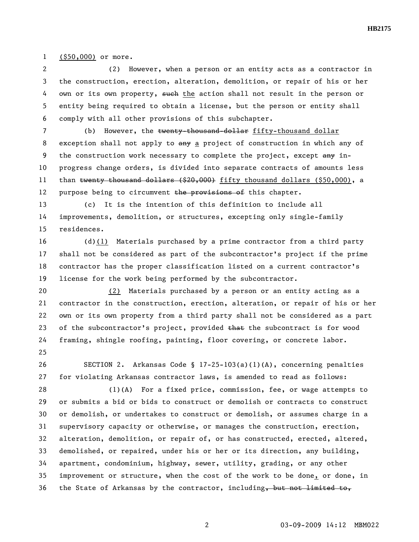**HB2175** 

1 (\$50,000) or more.

2 (2) However, when a person or an entity acts as a contractor in 3 the construction, erection, alteration, demolition, or repair of his or her 4 own or its own property, such the action shall not result in the person or 5 entity being required to obtain a license, but the person or entity shall 6 comply with all other provisions of this subchapter.

7 (b) However, the twenty-thousand-dollar fifty-thousand dollar 8 exception shall not apply to any a project of construction in which any of 9 the construction work necessary to complete the project, except any in-10 progress change orders, is divided into separate contracts of amounts less 11 than twenty thousand dollars (\$20,000) fifty thousand dollars (\$50,000), a 12 purpose being to circumvent the provisions of this chapter.

13 (c) It is the intention of this definition to include all 14 improvements, demolition, or structures, excepting only single-family 15 residences.

16 (d)(1) Materials purchased by a prime contractor from a third party 17 shall not be considered as part of the subcontractor's project if the prime 18 contractor has the proper classification listed on a current contractor's 19 license for the work being performed by the subcontractor.

20 (2) Materials purchased by a person or an entity acting as a 21 contractor in the construction, erection, alteration, or repair of his or her 22 own or its own property from a third party shall not be considered as a part 23 of the subcontractor's project, provided that the subcontract is for wood 24 framing, shingle roofing, painting, floor covering, or concrete labor. 25

26 SECTION 2. Arkansas Code § 17-25-103(a)(1)(A), concerning penalties 27 for violating Arkansas contractor laws, is amended to read as follows:

28 (1)(A) For a fixed price, commission, fee, or wage attempts to 29 or submits a bid or bids to construct or demolish or contracts to construct 30 or demolish, or undertakes to construct or demolish, or assumes charge in a 31 supervisory capacity or otherwise, or manages the construction, erection, 32 alteration, demolition, or repair of, or has constructed, erected, altered, 33 demolished, or repaired, under his or her or its direction, any building, 34 apartment, condominium, highway, sewer, utility, grading, or any other 35 improvement or structure, when the cost of the work to be done, or done, in 36 the State of Arkansas by the contractor, including, but not limited to,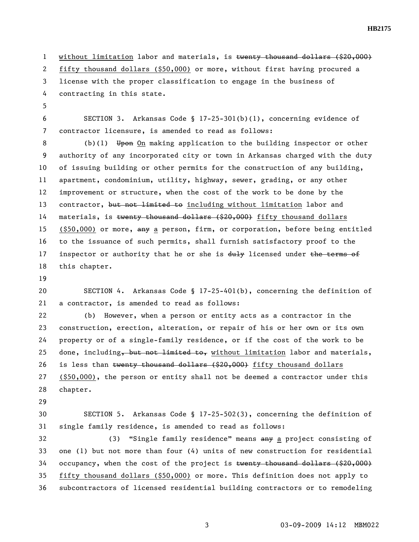**HB2175** 

1 without limitation labor and materials, is twenty thousand dollars (\$20,000) 2 fifty thousand dollars (\$50,000) or more, without first having procured a 3 license with the proper classification to engage in the business of 4 contracting in this state.

5

6 SECTION 3. Arkansas Code § 17-25-301(b)(1), concerning evidence of 7 contractor licensure, is amended to read as follows:

8 (b)(1) Upon On making application to the building inspector or other 9 authority of any incorporated city or town in Arkansas charged with the duty 10 of issuing building or other permits for the construction of any building, 11 apartment, condominium, utility, highway, sewer, grading, or any other 12 improvement or structure, when the cost of the work to be done by the 13 contractor, but not limited to including without limitation labor and 14 materials, is twenty thousand dollars (\$20,000) fifty thousand dollars 15 (\$50,000) or more, any a person, firm, or corporation, before being entitled 16 to the issuance of such permits, shall furnish satisfactory proof to the 17 inspector or authority that he or she is  $du\text{+}y$  licensed under the terms of 18 this chapter.

19

20 SECTION 4. Arkansas Code § 17-25-401(b), concerning the definition of 21 a contractor, is amended to read as follows:

22 (b) However, when a person or entity acts as a contractor in the 23 construction, erection, alteration, or repair of his or her own or its own 24 property or of a single-family residence, or if the cost of the work to be 25 done, including, but not limited to, without limitation labor and materials, 26 is less than twenty thousand dollars (\$20,000) fifty thousand dollars 27 (\$50,000), the person or entity shall not be deemed a contractor under this 28 chapter.

29

30 SECTION 5. Arkansas Code § 17-25-502(3), concerning the definition of 31 single family residence, is amended to read as follows:

32 (3) "Single family residence" means any a project consisting of 33 one (1) but not more than four (4) units of new construction for residential 34 occupancy, when the cost of the project is twenty thousand dollars (\$20,000) 35 fifty thousand dollars (\$50,000) or more. This definition does not apply to 36 subcontractors of licensed residential building contractors or to remodeling